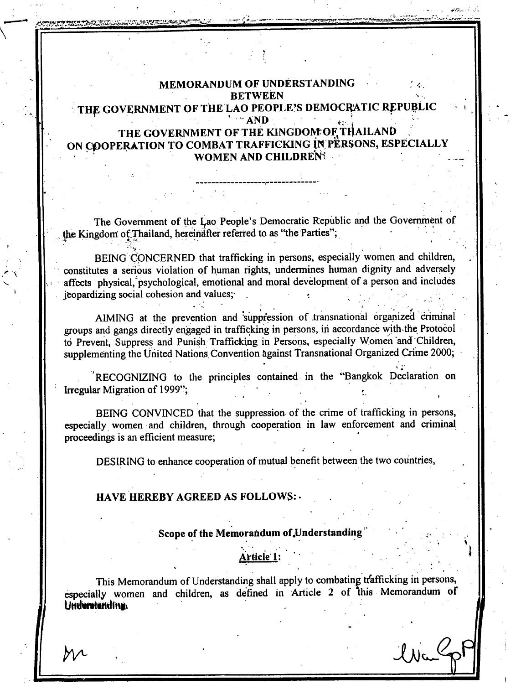# MEMORANDUM OF UNDERSTANDING **BETWEEN** THE GOVERNMENT OF THE LAO PEOPLE'S DEMOCRATIC REPUBLIC  $M = AND$ THE GOVERNMENT OF THE KINGDOM OF THAILAND ON COOPERATION TO COMBAT TRAFFICKING IN PERSONS, ESPECIALLY WOMEN AND CHILDRENS

The Government of the Lao People's Democratic Republic and the Government of the Kingdom of Thailand, hereinafter referred to as "the Parties";

BEING CONCERNED that trafficking in persons, especially women and children, constitutes a serious violation of human rights, undermines human dignity and adversely affects physical, psychological, emotional and moral development of a person and includes jeopardizing social cohesion and values;

AIMING at the prevention and suppression of transnational organized criminal groups and gangs directly engaged in trafficking in persons, in accordance with the Protocol to Prevent, Suppress and Punish Trafficking in Persons, especially Women and Children, supplementing the United Nations Convention against Transnational Organized Crime 2000;

RECOGNIZING to the principles contained in the "Bangkok Declaration on Irregular Migration of 1999";

BEING CONVINCED that the suppression of the crime of trafficking in persons, especially women and children, through cooperation in law enforcement and criminal proceedings is an efficient measure;

DESIRING to enhance cooperation of mutual benefit between the two countries,

## **HAVE HEREBY AGREED AS FOLLOWS: .**

#### Scope of the Memorandum of Understanding

# Article 1:

This Memorandum of Understanding shall apply to combating trafficking in persons, especially women and children, as defined in Article 2 of this Memorandum of Undurstanding

l Na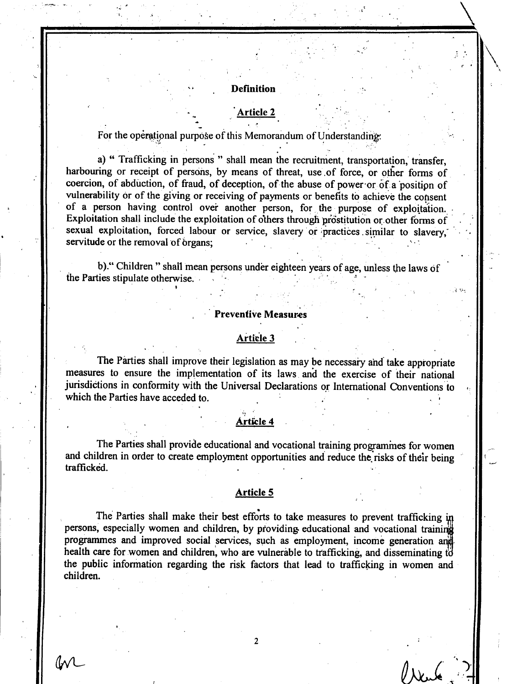#### **Definition**

# rticle 2

For the operational purpose of this Memorandum of Understanding:

a) " Trafficking in persons " shall mean the recruitment, transportation, transfer, harbouring or receipt of persons, by means of threat, use of force, or other forms of coercion, of abduction, of fraud, of deception, of the abuse of power or of a position of vulnerability or of the giving or receiving of payments or benefits to achieve the consent of a person having control over another person, for the purpose of exploitation. Exploitation shall include the exploitation of others through prostitution or other forms of sexual exploitation, forced labour or service, slavery or practices similar to slavery, servitude or the removal of organs:

b)." Children " shall mean persons under eighteen years of age, unless the laws of the Parties stipulate otherwise.

#### **Preventive Measures**

## Article 3

The Parties shall improve their legislation as may be necessary and take appropriate measures to ensure the implementation of its laws and the exercise of their national jurisdictions in conformity with the Universal Declarations or International Conventions to which the Parties have acceded to.

## rticle 4

The Parties shall provide educational and vocational training programines for women and children in order to create employment opportunities and reduce the risks of their being trafficked.

## **Article 5**

The Parties shall make their best efforts to take measures to prevent trafficking in persons, especially women and children, by providing educational and vocational training programmes and improved social services, such as employment, income generation and health care for women and children, who are vulnerable to trafficking, and disseminating to the public information regarding the risk factors that lead to trafficking in women and children.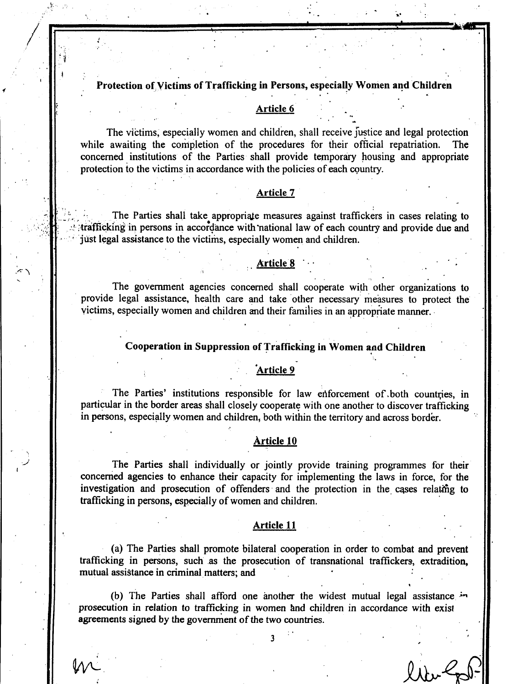## Protection of Victims of Trafficking in Persons, especially Women and Children

## Article 6

The victims, especially women and children, shall receive fustice and legal protection while awaiting the completion of the procedures for their official repatriation. The concerned institutions of the Parties shall provide temporary housing and appropriate protection to the victims in accordance with the policies of each country.

## Article 7

The Parties shall take appropriate measures against traffickers in cases relating to trafficking in persons in accordance with national law of each country and provide due and just legal assistance to the victims, especially women and children.

#### **Article 8**

The government agencies concerned shall cooperate with other organizations to provide legal assistance, health care and take other necessary measures to protect the victims, especially women and children and their families in an appropriate manner.

## Cooperation in Suppression of Trafficking in Women and Children

#### Article 9

The Parties' institutions responsible for law enforcement of both countries, in particular in the border areas shall closely cooperate with one another to discover trafficking in persons, especially women and children, both within the territory and across border.

## Article 10

The Parties shall individually or jointly provide training programmes for their concerned agencies to enhance their capacity for implementing the laws in force, for the investigation and prosecution of offenders and the protection in the cases relating to trafficking in persons, especially of women and children.

#### Article 11

(a) The Parties shall promote bilateral cooperation in order to combat and prevent trafficking in persons, such as the prosecution of transnational traffickers, extradition, mutual assistance in criminal matters; and

(b) The Parties shall afford one another the widest mutual legal assistance in prosecution in relation to trafficking in women and children in accordance with exist agreements signed by the government of the two countries.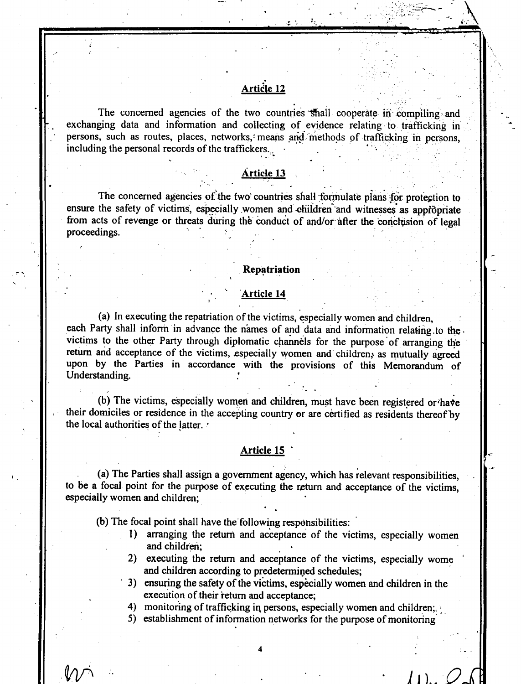# Article 12

The concerned agencies of the two countries shall cooperate in compiling and exchanging data and information and collecting of evidence relating to trafficking in persons, such as routes, places, networks, means and methods of trafficking in persons. including the personal records of the traffickers.

## **Article 13**

The concerned agencies of the two countries shall formulate plans for protection to ensure the safety of victims, especially women and children and witnesses as appropriate from acts of revenge or threats during the conduct of and/or after the conclusion of legal proceedings.

## Repatriation

#### <u>Article 14</u>

(a) In executing the repatriation of the victims, especially women and children, each Party shall inform in advance the names of and data and information relating to the. victims to the other Party through diplomatic channels for the purpose of arranging the return and acceptance of the victims, especially women and children, as mutually agreed upon by the Parties in accordance with the provisions of this Memorandum of Understanding.

(b) The victims, especially women and children, must have been registered or have their domiciles or residence in the accepting country or are certified as residents thereof by the local authorities of the latter. .

#### Article 15

(a) The Parties shall assign a government agency, which has relevant responsibilities, to be a focal point for the purpose of executing the return and acceptance of the victims, especially women and children;

(b) The focal point shall have the following responsibilities:

- 1) arranging the return and acceptance of the victims, especially women and children:
- 2) executing the return and acceptance of the victims, especially wome and children according to predetermined schedules;
- 3) ensuring the safety of the victims, especially women and children in the execution of their return and acceptance;
- 4) monitoring of trafficking in persons, especially women and children;
- 5) establishment of information networks for the purpose of monitoring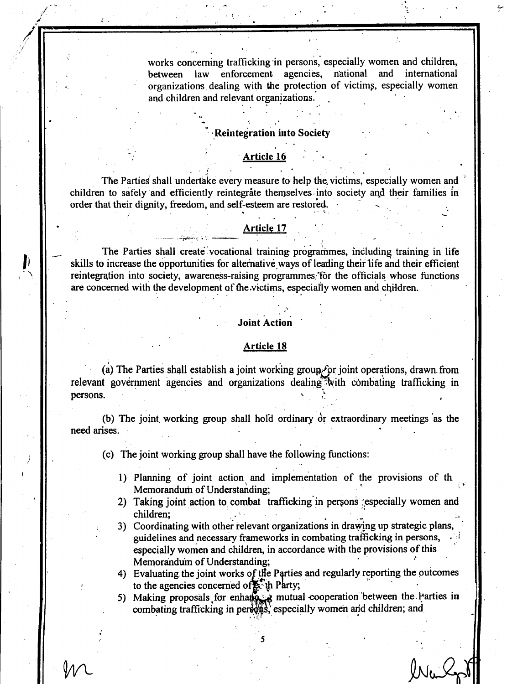works concerning trafficking in persons, especially women and children. law enforcement agencies, national and international between organizations dealing with the protection of victims, especially women and children and relevant organizations.

## **Reintegration into Society**

#### **Article 16**

The Parties shall undertake every measure to help the victims, especially women and children to safely and efficiently reintegrate themselves into society and their families in order that their dignity, freedom, and self-esteem are restored.

#### **Article 17**

The Parties shall create vocational training programmes, including training in life skills to increase the opportunities for alternative ways of leading their life and their efficient reintegration into society, awareness-raising programmes for the officials whose functions are concerned with the development of the victims, especially women and children.

#### **Joint Action**

#### **Article 18**

(a) The Parties shall establish a joint working group for joint operations, drawn from relevant government agencies and organizations dealing with combating trafficking in persons.

(b) The joint working group shall hold ordinary  $\dot{\sigma}$  extraordinary meetings as the need arises.

(c) The joint working group shall have the following functions:

- 1) Planning of joint action and implementation of the provisions of the Memorandum of Understanding;
- 2) Taking joint action to combat trafficking in persons especially women and children:
- 3) Coordinating with other relevant organizations in drawing up strategic plans, guidelines and necessary frameworks in combating trafficking in persons, especially women and children, in accordance with the provisions of this Memorandum of Understanding;

4) Evaluating the joint works of the Parties and regularly reporting the outcomes to the agencies concerned of the Party;

5) Making proposals for enhance mutual cooperation between the Parties in combating trafficking in personally women and children; and